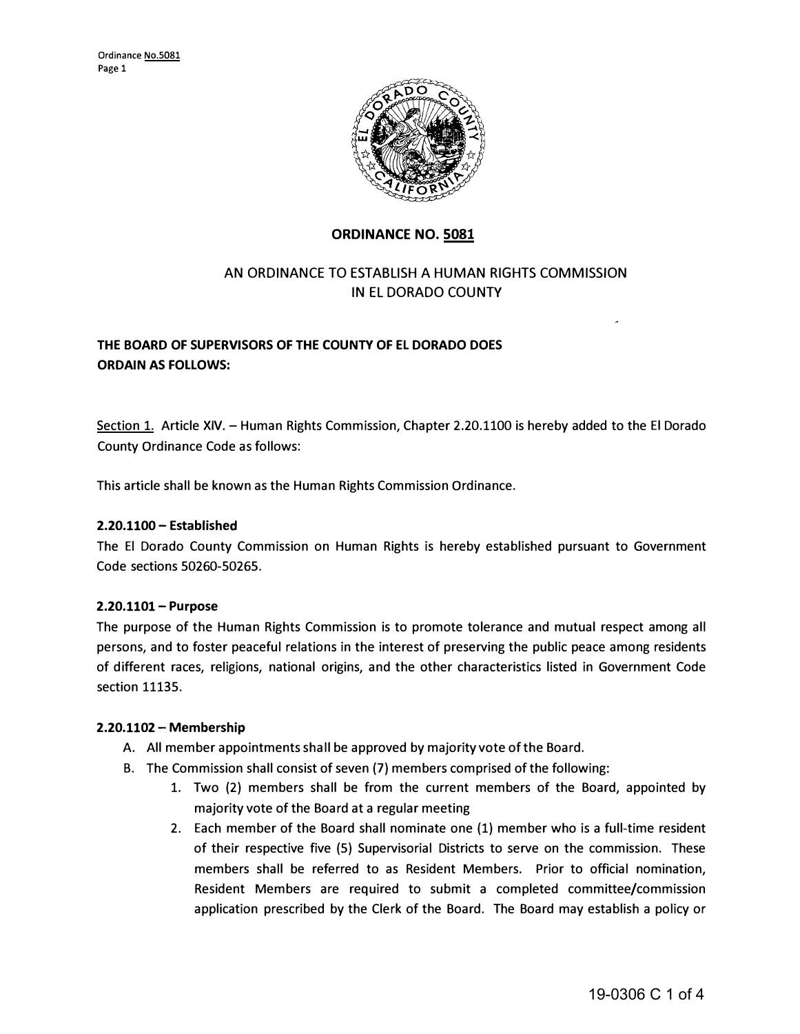

## **ORDINANCE NO. 5081**

# AN ORDINANCE TO ESTABLISH A HUMAN RIGHTS COMMISSION IN EL DORADO COUNTY

# **THE BOARD OF SUPERVISORS OF THE COUNTY OF EL DORADO DOES ORDAIN AS FOLLOWS:**

Section 1. Article XIV. - Human Rights Commission, Chapter 2.20.1100 is hereby added to the El Dorado County Ordinance Code as follows:

This article shall be known as the Human Rights Commission Ordinance.

## **2.20.1100 - Established**

The El Dorado County Commission on Human Rights is hereby established pursuant to Government Code sections 50260-50265.

## **2.20.1101- Purpose**

The purpose of the Human Rights Commission is to promote tolerance and mutual respect among all persons, and to foster peaceful relations in the interest of preserving the public peace among residents of different races, religions, national origins, and the other characteristics listed in Government Code section 11135.

## **2.20.1102 - Membership**

- A. All member appointments shall be approved by majority vote of the Board.
- 8. The Commission shall consist of seven (7) members comprised of the following:
	- 1. Two (2) members shall be from the current members of the Board, appointed by majority vote of the Board at a regular meeting
	- 2. Each member of the Board shall nominate one (1) member who is a full-time resident of their respective five (5) Supervisorial Districts to serve on the commission. These members shall be referred to as Resident Members. Prior to official nomination, Resident Members are required to submit a completed committee/commission application prescribed by the Clerk of the Board. The Board may establish a policy or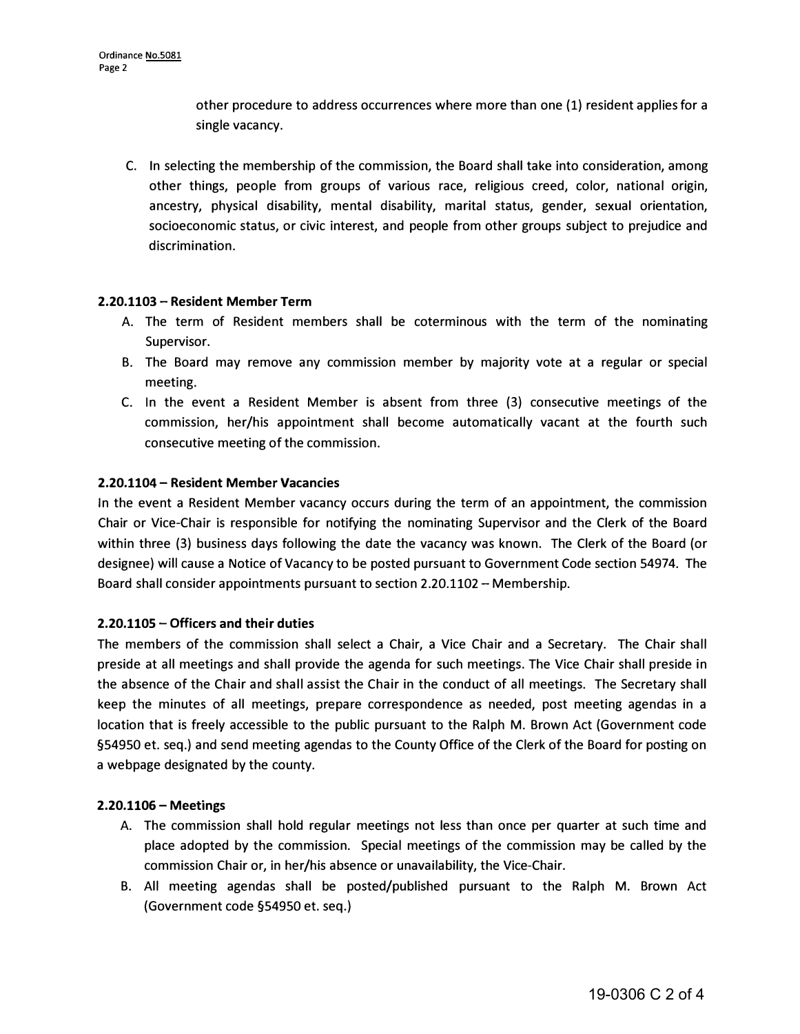other procedure to address occurrences where more than one (1) resident applies for a single vacancy.

C. In selecting the membership of the commission, the Board shall take into consideration, among other things, people from groups of various race, religious creed, color, national origin, ancestry, physical disability, mental disability, marital status, gender, sexual orientation, socioeconomic status, or civic interest, and people from other groups subject to prejudice and discrimination.

#### **2.20.1103 - Resident Member Term**

- A. The term of Resident members shall be coterminous with the term of the nominating Supervisor.
- B. The Board may remove any commission member by majority vote at a regular or special meeting.
- C. In the event a Resident Member is absent from three (3) consecutive meetings of the commission, her/his appointment shall become automatically vacant at the fourth such consecutive meeting of the commission.

#### **2.20.1104 - Resident Member Vacancies**

In the event a Resident Member vacancy occurs during the term of an appointment, the commission Chair or Vice-Chair is responsible for notifying the nominating Supervisor and the Clerk of the Board within three (3) business days following the date the vacancy was known. The Clerk of the Board (or designee) **will** cause a Notice of Vacancy to be posted pursuant to Government Code section 54974. The Board shall consider appointments pursuant to section 2.20.1102 - Membership.

#### **2.20.1105 - Officers and their duties**

The members of the commission shall select a Chair, a Vice Chair and a Secretary. The Chair shall preside at all meetings and shall provide the agenda for such meetings. The Vice Chair shall preside in the absence of the Chair and shall assist the Chair in the conduct of all meetings. The Secretary shall keep the minutes of all meetings, prepare correspondence as needed, post meeting agendas in a location that is freely accessible to the public pursuant to the Ralph M. Brown Act (Government code §54950 et. seq.) and send meeting agendas to the County Office of the Clerk of the Board for posting on a webpage designated by the county.

## **2.20.1106 - Meetings**

- A. The commission shall hold regular meetings not less than once per quarter at such time and place adopted by the commission. Special meetings of the commission may be called by the commission Chair or, in her/his absence or unavailability, the Vice-Chair.
- B. All meeting agendas shall be posted/published pursuant to the Ralph M. Brown Act (Government code §54950 et. seq.)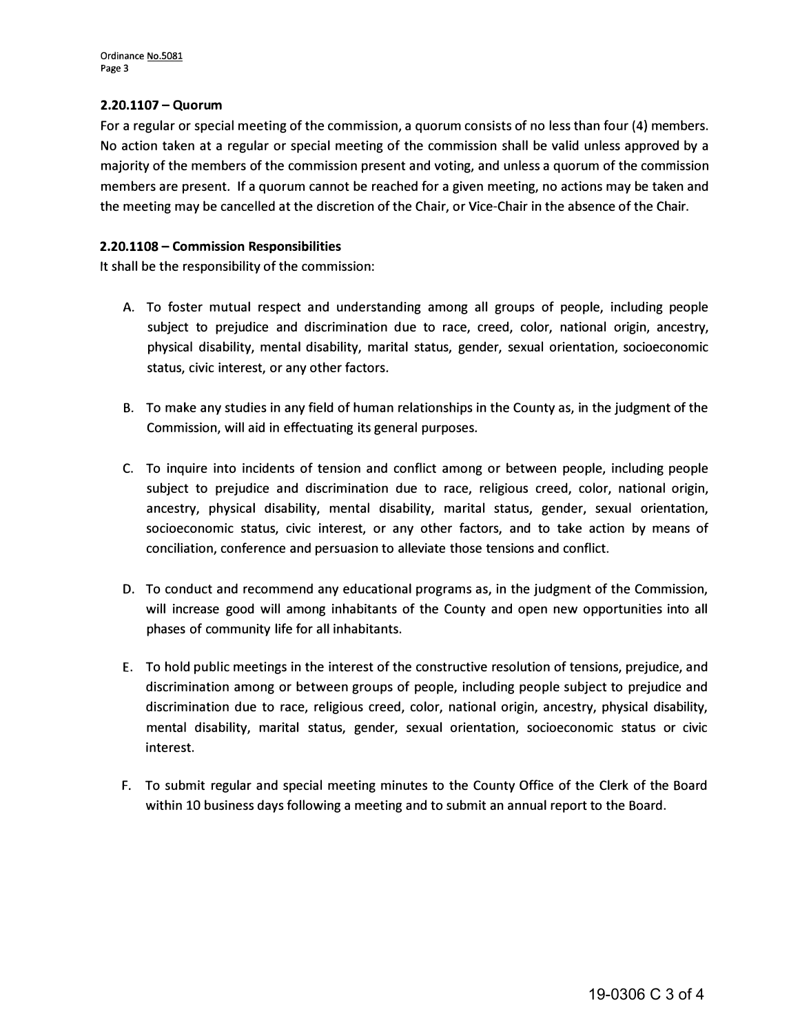## **2.20.1107 - Quorum**

For a regular or special meeting of the commission, a quorum consists of no less than four (4) members. No action taken at a regular or special meeting of the commission shall be valid unless approved by a majority of the members of the commission present and voting, and unless a quorum of the commission members are present. If a quorum cannot be reached for a given meeting, no actions may be taken and the meeting may be cancelled at the discretion of the Chair, or Vice-Chair in the absence of the Chair.

## **2.20.1108 - Commission Responsibilities**

It shall be the responsibility of the commission:

- A. To foster mutual respect and understanding among all groups of people, including people subject to prejudice and discrimination due to race, creed, color, national origin, ancestry, physical disability, mental disability, marital status, gender, sexual orientation, socioeconomic status, civic interest, or any other factors.
- B. To make any studies in any field of human relationships in the County as, in the judgment of the Commission, will aid in effectuating its general purposes.
- C. To inquire into incidents of tension and conflict among or between people, including people subject to prejudice and discrimination due to race, religious creed, color, national origin, ancestry, physical disability, mental disability, marital status, gender, sexual orientation, socioeconomic status, civic interest, or any other factors, and to take action by means of conciliation, conference and persuasion to alleviate those tensions and conflict.
- D. To conduct and recommend any educational programs as, in the judgment of the Commission, will increase good will among inhabitants of the County and open new opportunities into all phases of community life for all inhabitants.
- E. To hold public meetings in the interest of the constructive resolution of tensions, prejudice, and discrimination among or between groups of people, including people subject to prejudice and discrimination due to race, religious creed, color, national origin, ancestry, physical disability, mental disability, marital status, gender, sexual orientation, socioeconomic status or civic interest.
- F. To submit regular and special meeting minutes to the County Office of the Clerk of the Board within 10 business days following a meeting and to submit an annual report to the Board.